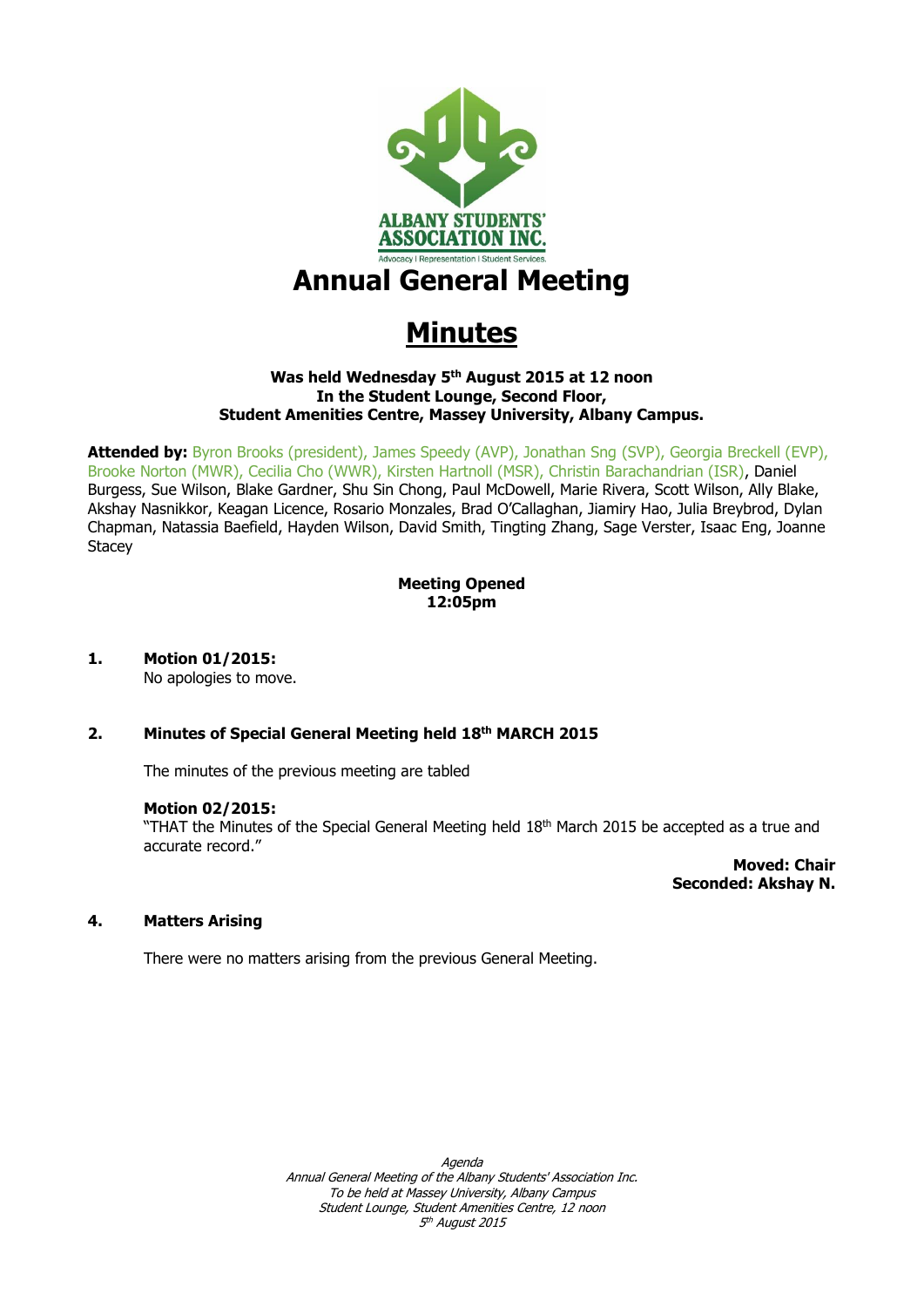

# **Annual General Meeting**

# **Minutes**

#### **Was held Wednesday 5 th August 2015 at 12 noon In the Student Lounge, Second Floor, Student Amenities Centre, Massey University, Albany Campus.**

**Attended by:** Byron Brooks (president), James Speedy (AVP), Jonathan Sng (SVP), Georgia Breckell (EVP), Brooke Norton (MWR), Cecilia Cho (WWR), Kirsten Hartnoll (MSR), Christin Barachandrian (ISR), Daniel Burgess, Sue Wilson, Blake Gardner, Shu Sin Chong, Paul McDowell, Marie Rivera, Scott Wilson, Ally Blake, Akshay Nasnikkor, Keagan Licence, Rosario Monzales, Brad O'Callaghan, Jiamiry Hao, Julia Breybrod, Dylan Chapman, Natassia Baefield, Hayden Wilson, David Smith, Tingting Zhang, Sage Verster, Isaac Eng, Joanne **Stacey** 

# **Meeting Opened 12:05pm**

# **1. Motion 01/2015:**

No apologies to move.

# **2. Minutes of Special General Meeting held 18 th MARCH 2015**

The minutes of the previous meeting are tabled

#### **Motion 02/2015:**

"THAT the Minutes of the Special General Meeting held  $18<sup>th</sup>$  March 2015 be accepted as a true and accurate record."

> **Moved: Chair Seconded: Akshay N.**

#### **4. Matters Arising**

There were no matters arising from the previous General Meeting.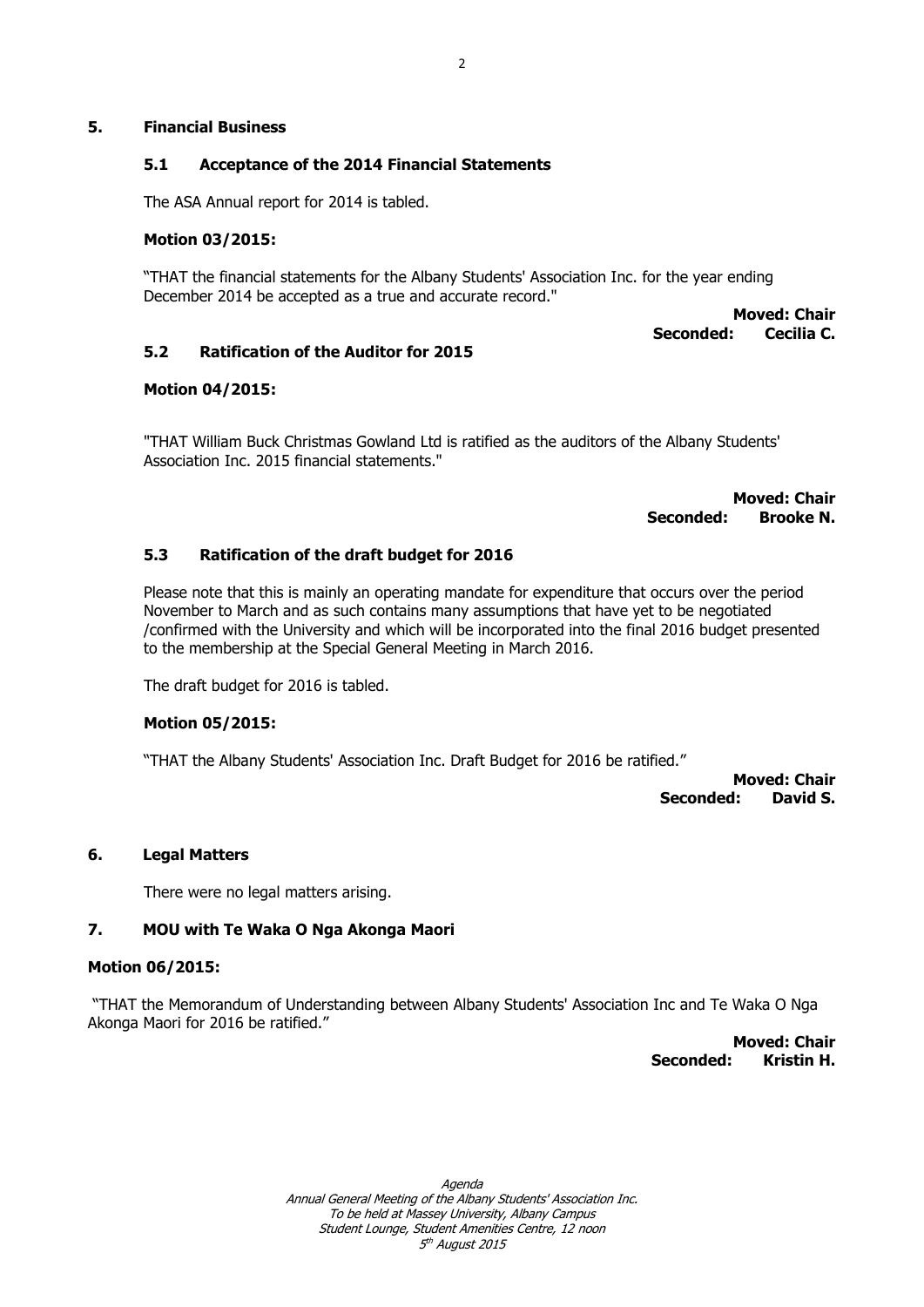#### **5. Financial Business**

# **5.1 Acceptance of the 2014 Financial Statements**

The ASA Annual report for 2014 is tabled.

#### **Motion 03/2015:**

"THAT the financial statements for the Albany Students' Association Inc. for the year ending December 2014 be accepted as a true and accurate record."

> **Moved: Chair**<br>**Cecilia C. Seconded:**

#### **5.2 Ratification of the Auditor for 2015**

#### **Motion 04/2015:**

"THAT William Buck Christmas Gowland Ltd is ratified as the auditors of the Albany Students' Association Inc. 2015 financial statements."

> **Moved: Chair Seconded: Brooke N.**

#### **5.3 Ratification of the draft budget for 2016**

Please note that this is mainly an operating mandate for expenditure that occurs over the period November to March and as such contains many assumptions that have yet to be negotiated /confirmed with the University and which will be incorporated into the final 2016 budget presented to the membership at the Special General Meeting in March 2016.

The draft budget for 2016 is tabled.

#### **Motion 05/2015:**

"THAT the Albany Students' Association Inc. Draft Budget for 2016 be ratified."

**Moved: Chair Seconded: David S.**

#### **6. Legal Matters**

There were no legal matters arising.

#### **7. MOU with Te Waka O Nga Akonga Maori**

#### **Motion 06/2015:**

"THAT the Memorandum of Understanding between Albany Students' Association Inc and Te Waka O Nga Akonga Maori for 2016 be ratified."

> **Moved: Chair Seconded: Kristin H.**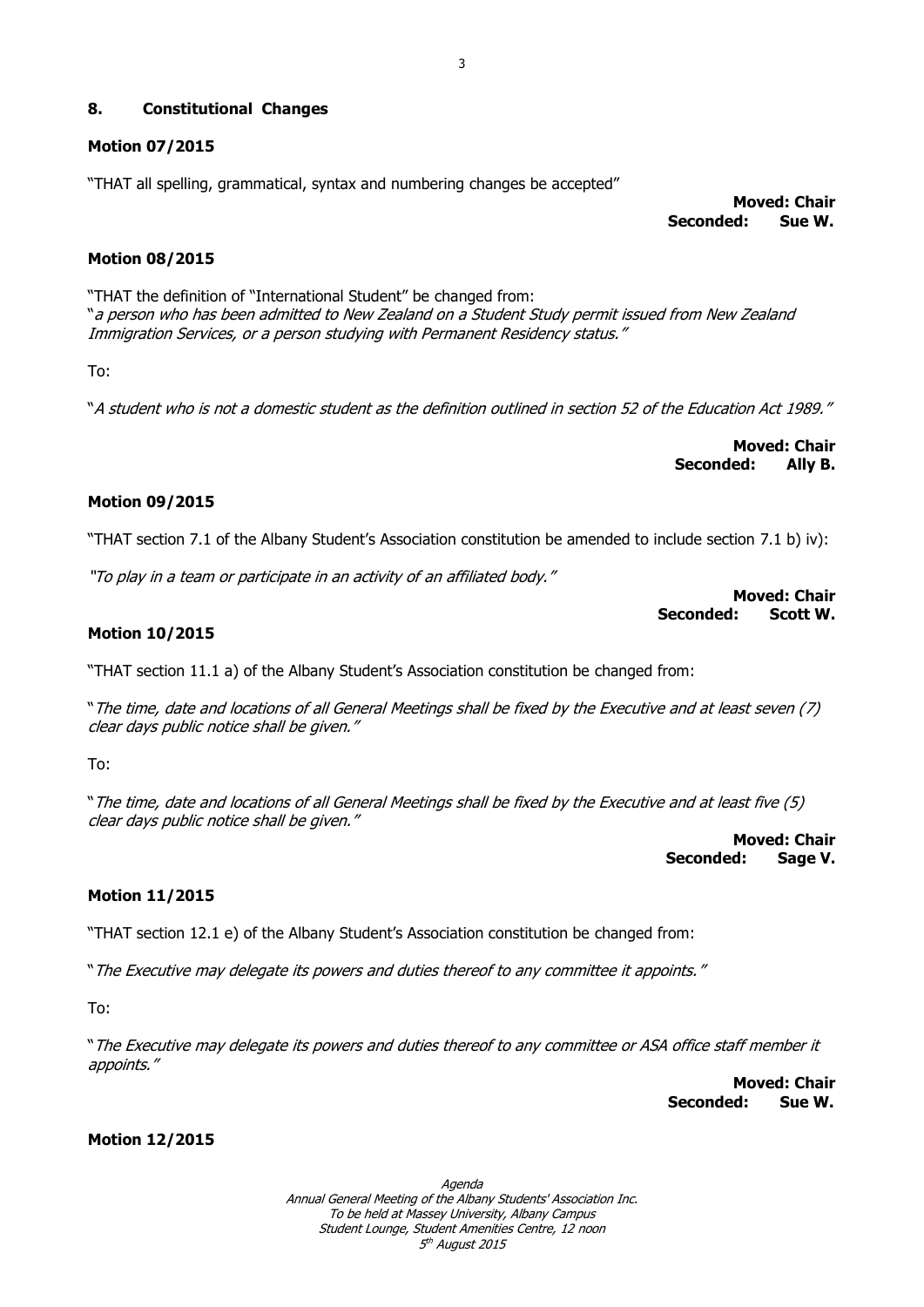## **8. Constitutional Changes**

## **Motion 07/2015**

"THAT all spelling, grammatical, syntax and numbering changes be accepted"

**Moved: Chair Seconded: Sue W.**

## **Motion 08/2015**

"THAT the definition of "International Student" be changed from: "a person who has been admitted to New Zealand on a Student Study permit issued from New Zealand Immigration Services, or a person studying with Permanent Residency status."

To:

"A student who is not a domestic student as the definition outlined in section 52 of the Education Act 1989."

**Moved: Chair Seconded: Ally B.**

## **Motion 09/2015**

"THAT section 7.1 of the Albany Student's Association constitution be amended to include section 7.1 b) iv):

"To play in a team or participate in an activity of an affiliated body."

**Moved: Chair Seconded: Scott W.**

#### **Motion 10/2015**

"THAT section 11.1 a) of the Albany Student's Association constitution be changed from:

"The time, date and locations of all General Meetings shall be fixed by the Executive and at least seven (7) clear days public notice shall be given."

To:

"The time, date and locations of all General Meetings shall be fixed by the Executive and at least five (5) clear days public notice shall be given."

**Moved: Chair Seconded: Sage V.**

#### **Motion 11/2015**

"THAT section 12.1 e) of the Albany Student's Association constitution be changed from:

"The Executive may delegate its powers and duties thereof to any committee it appoints."

To:

"The Executive may delegate its powers and duties thereof to any committee or ASA office staff member it appoints."

> **Moved: Chair Seconded: Sue W.**

**Motion 12/2015**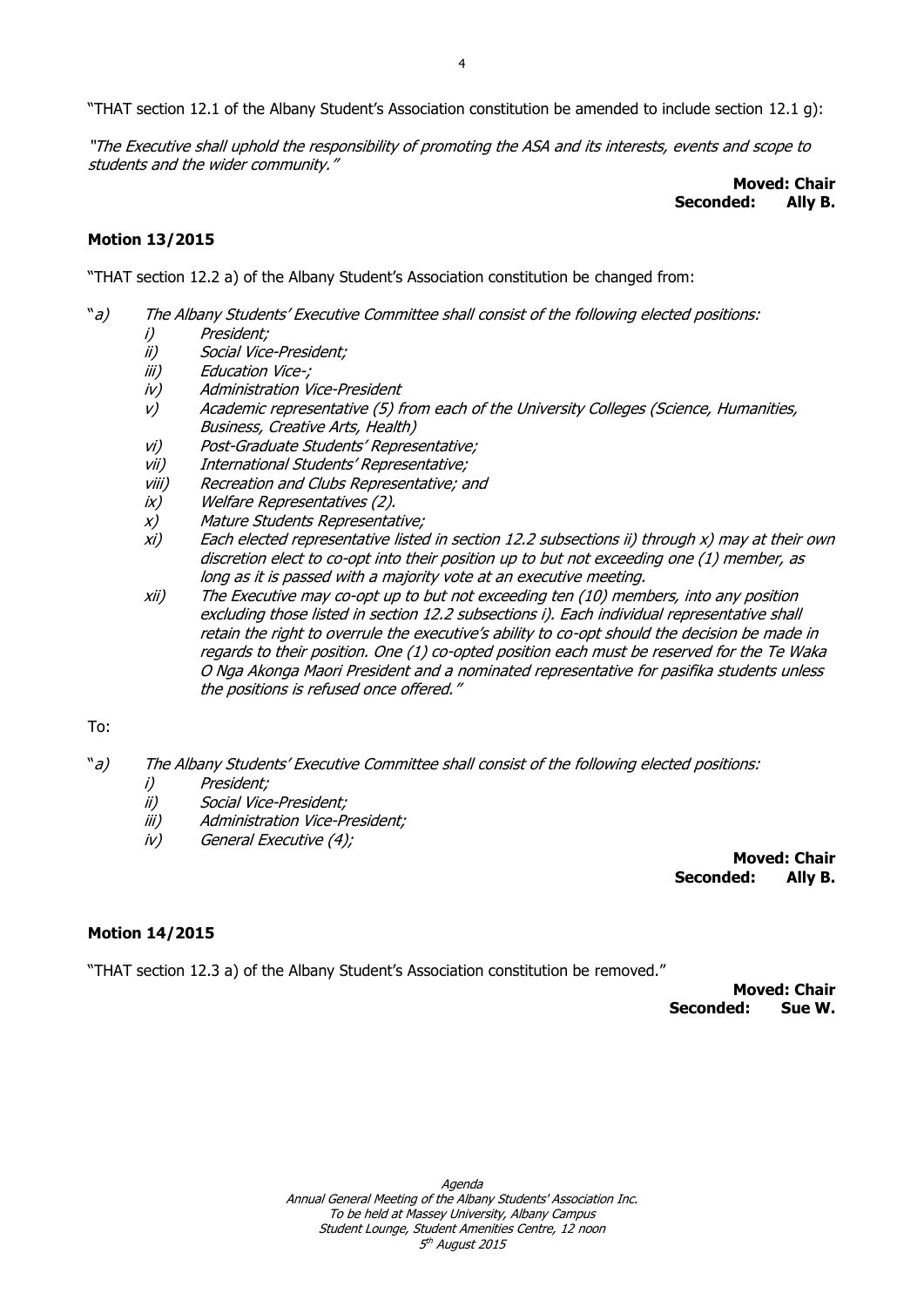"THAT section 12.1 of the Albany Student's Association constitution be amended to include section 12.1 g):

"The Executive shall uphold the responsibility of promoting the ASA and its interests, events and scope to students and the wider community."

**Moved: Chair Seconded:** 

#### **Motion 13/2015**

"THAT section 12.2 a) of the Albany Student's Association constitution be changed from:

- "a) The Albany Students' Executive Committee shall consist of the following elected positions:
	- i) President;
	- ii) Social Vice-President;
	- iii) Education Vice-;
	- iv) Administration Vice-President
	- v) Academic representative (5) from each of the University Colleges (Science, Humanities, Business, Creative Arts, Health)
	- vi) Post-Graduate Students' Representative;
	- vii) International Students' Representative;
	- viii) Recreation and Clubs Representative; and
	- ix) Welfare Representatives (2).
	- x) Mature Students Representative;
	- xi) Each elected representative listed in section 12.2 subsections ii) through x) may at their own discretion elect to co-opt into their position up to but not exceeding one (1) member, as long as it is passed with a majority vote at an executive meeting.
	- xii) The Executive may co-opt up to but not exceeding ten (10) members, into any position excluding those listed in section 12.2 subsections i). Each individual representative shall retain the right to overrule the executive's ability to co-opt should the decision be made in regards to their position. One (1) co-opted position each must be reserved for the Te Waka O Nga Akonga Maori President and a nominated representative for pasifika students unless the positions is refused once offered."

#### To:

- "a) The Albany Students' Executive Committee shall consist of the following elected positions:
	- i) President;
	- ii) Social Vice-President;
	- iii) Administration Vice-President;
	- iv) General Executive (4);

**Moved: Chair Seconded: Ally B.**

#### **Motion 14/2015**

"THAT section 12.3 a) of the Albany Student's Association constitution be removed."

**Moved: Chair Seconded: Sue W.**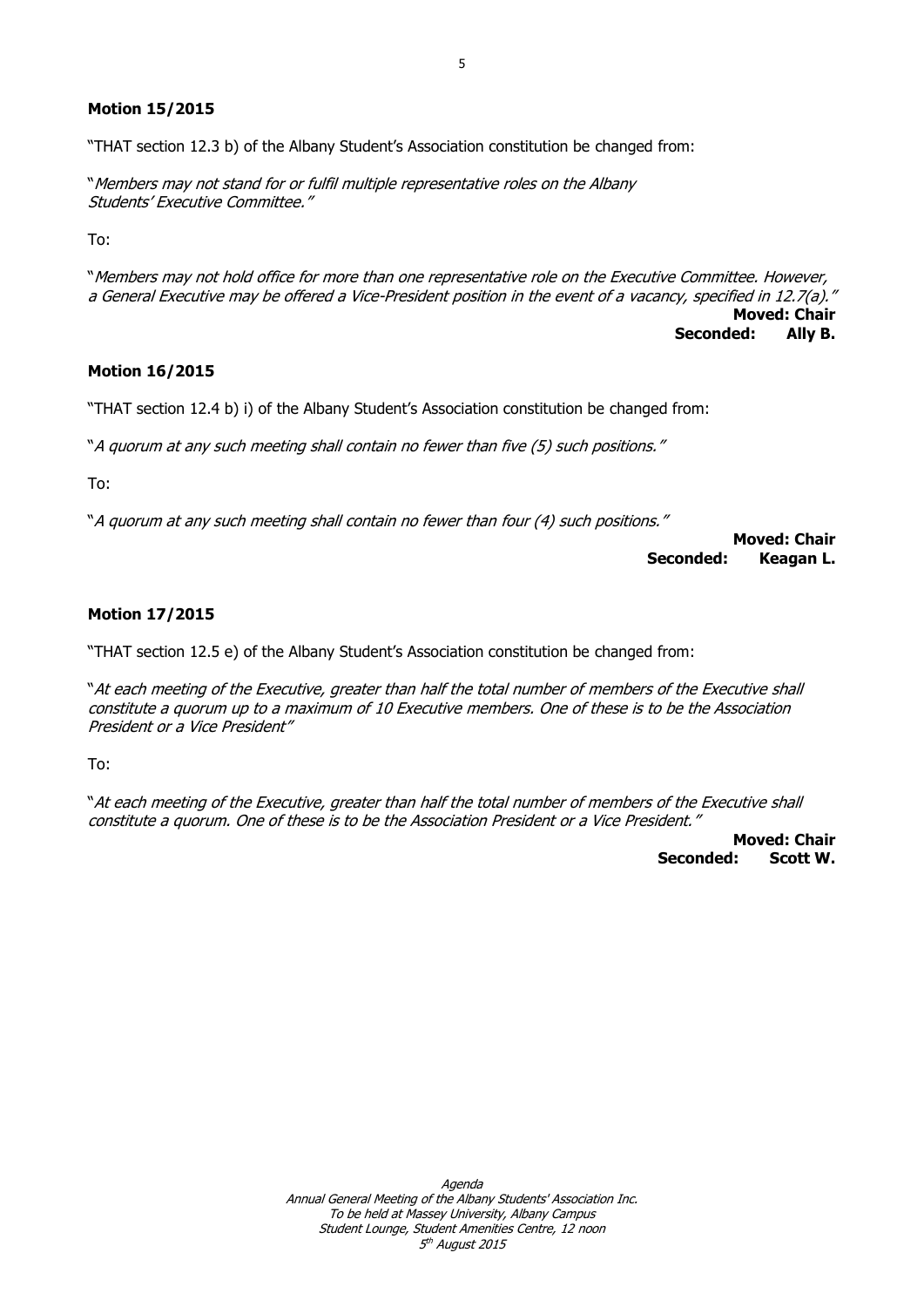### **Motion 15/2015**

"THAT section 12.3 b) of the Albany Student's Association constitution be changed from:

"Members may not stand for or fulfil multiple representative roles on the Albany Students' Executive Committee."

To:

"Members may not hold office for more than one representative role on the Executive Committee. However, a General Executive may be offered a Vice-President position in the event of a vacancy, specified in 12.7(a)." **Moved: Chair Seconded: Ally B.**

# **Motion 16/2015**

"THAT section 12.4 b) i) of the Albany Student's Association constitution be changed from:

"A quorum at any such meeting shall contain no fewer than five (5) such positions."

To:

"A quorum at any such meeting shall contain no fewer than four (4) such positions."

**Moved: Chair Seconded: Keagan L.**

## **Motion 17/2015**

"THAT section 12.5 e) of the Albany Student's Association constitution be changed from:

"At each meeting of the Executive, greater than half the total number of members of the Executive shall constitute a quorum up to a maximum of 10 Executive members. One of these is to be the Association President or a Vice President"

To:

"At each meeting of the Executive, greater than half the total number of members of the Executive shall constitute a quorum. One of these is to be the Association President or a Vice President."

> **Moved: Chair Seconded: Scott W.**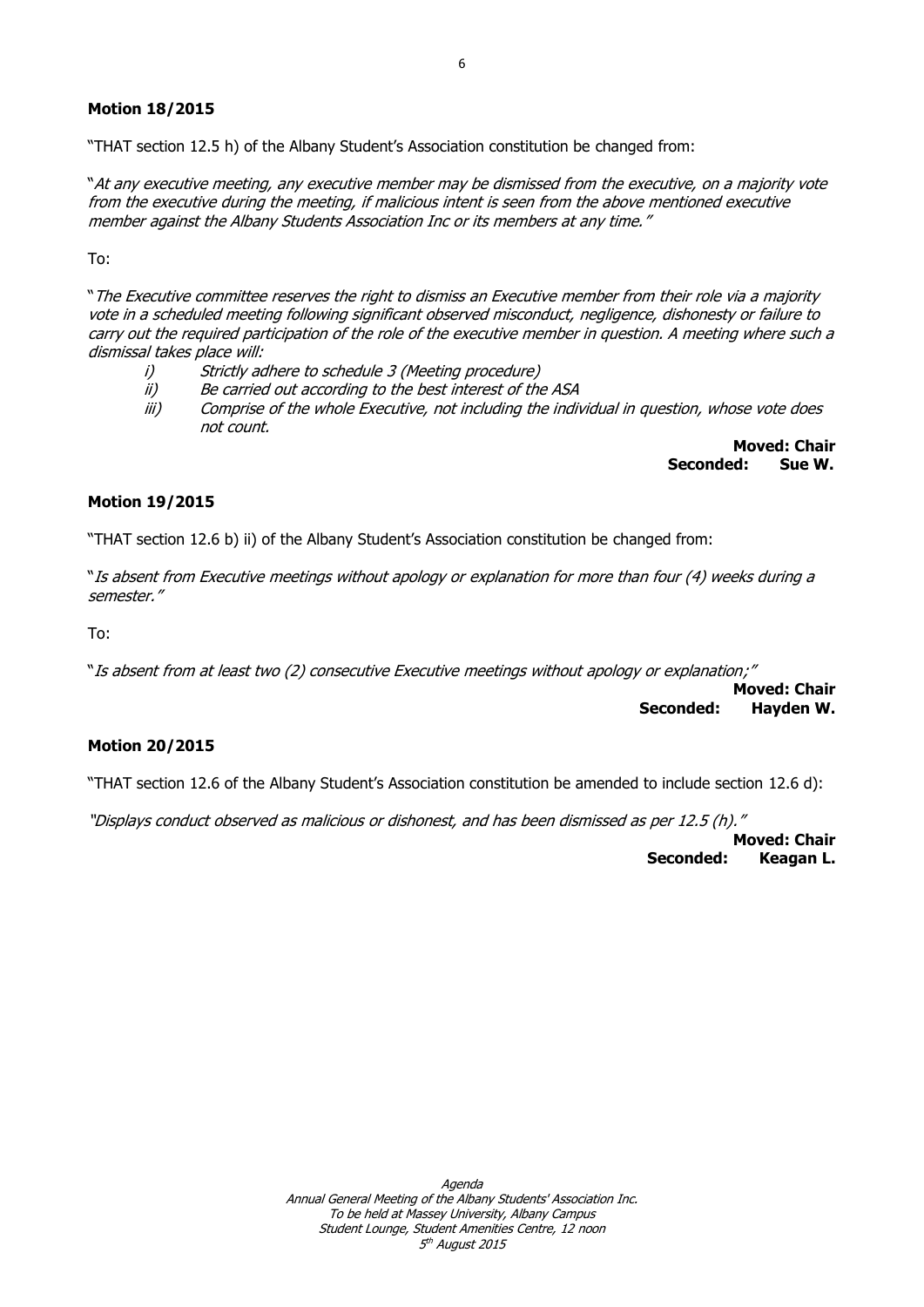## **Motion 18/2015**

"THAT section 12.5 h) of the Albany Student's Association constitution be changed from:

"At any executive meeting, any executive member may be dismissed from the executive, on a majority vote from the executive during the meeting, if malicious intent is seen from the above mentioned executive member against the Albany Students Association Inc or its members at any time."

To:

"The Executive committee reserves the right to dismiss an Executive member from their role via a majority vote in a scheduled meeting following significant observed misconduct, negligence, dishonesty or failure to carry out the required participation of the role of the executive member in question. A meeting where such a dismissal takes place will:

i) Strictly adhere to schedule 3 (Meeting procedure)

- ii) Be carried out according to the best interest of the ASA
- iii) Comprise of the whole Executive, not including the individual in question, whose vote does not count.

**Moved: Chair Seconded: Sue W.**

## **Motion 19/2015**

"THAT section 12.6 b) ii) of the Albany Student's Association constitution be changed from:

"Is absent from Executive meetings without apology or explanation for more than four (4) weeks during a semester."

To:

"Is absent from at least two (2) consecutive Executive meetings without apology or explanation;"

**Moved: Chair Seconded: Hayden W.**

## **Motion 20/2015**

"THAT section 12.6 of the Albany Student's Association constitution be amended to include section 12.6 d):

"Displays conduct observed as malicious or dishonest, and has been dismissed as per 12.5 (h)."

**Moved: Chair Seconded: Keagan L.**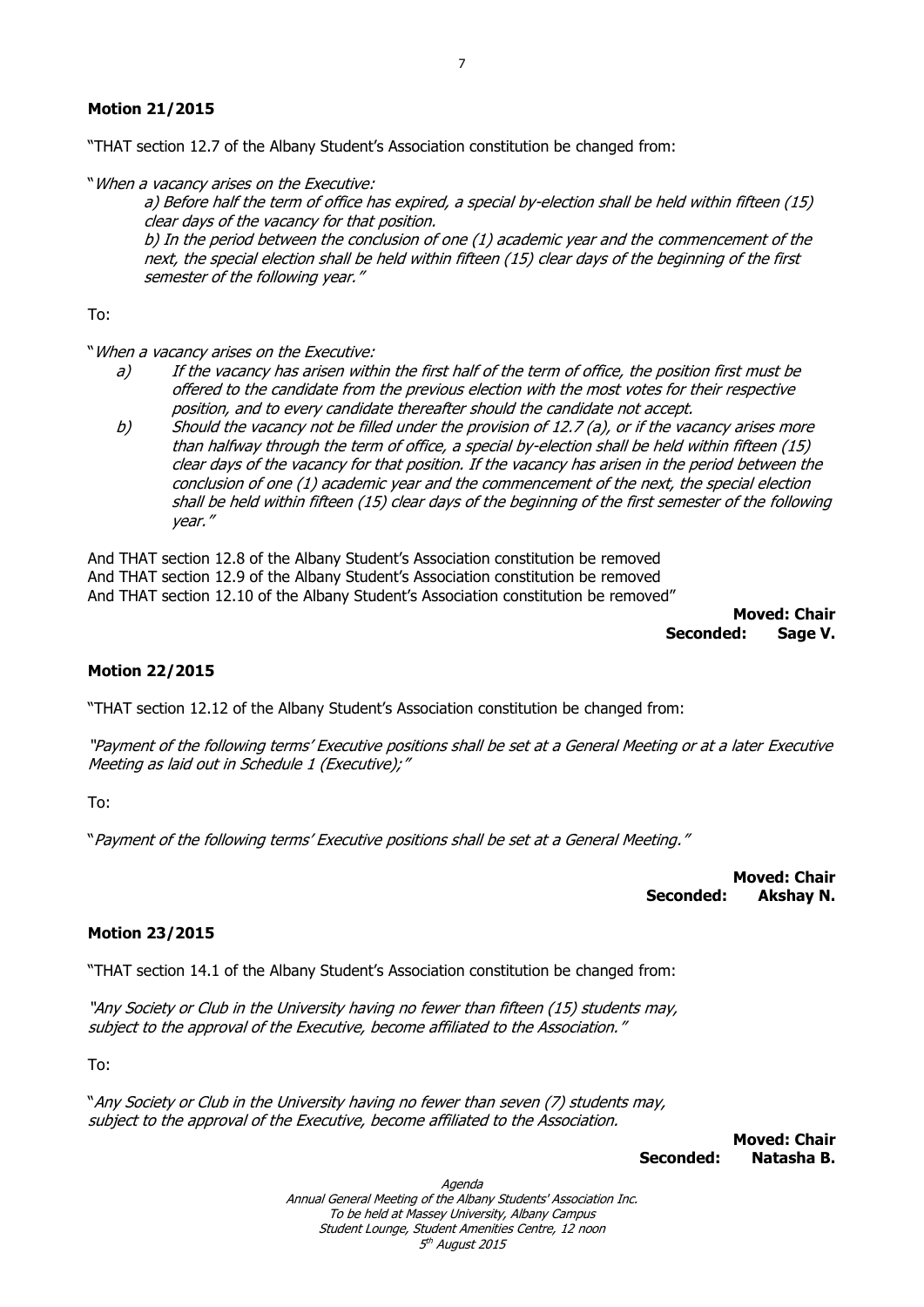## **Motion 21/2015**

"THAT section 12.7 of the Albany Student's Association constitution be changed from:

"When a vacancy arises on the Executive:

a) Before half the term of office has expired, a special by-election shall be held within fifteen (15) clear days of the vacancy for that position.

b) In the period between the conclusion of one (1) academic year and the commencement of the next, the special election shall be held within fifteen (15) clear days of the beginning of the first semester of the following year."

To:

"When a vacancy arises on the Executive:

- a) If the vacancy has arisen within the first half of the term of office, the position first must be offered to the candidate from the previous election with the most votes for their respective position, and to every candidate thereafter should the candidate not accept.
- b) Should the vacancy not be filled under the provision of 12.7 (a), or if the vacancy arises more than halfway through the term of office, a special by-election shall be held within fifteen (15) clear days of the vacancy for that position. If the vacancy has arisen in the period between the conclusion of one (1) academic year and the commencement of the next, the special election shall be held within fifteen (15) clear days of the beginning of the first semester of the following year."

And THAT section 12.8 of the Albany Student's Association constitution be removed And THAT section 12.9 of the Albany Student's Association constitution be removed And THAT section 12.10 of the Albany Student's Association constitution be removed"

> **Moved: Chair Seconded: Sage V.**

#### **Motion 22/2015**

"THAT section 12.12 of the Albany Student's Association constitution be changed from:

"Payment of the following terms' Executive positions shall be set at a General Meeting or at a later Executive Meeting as laid out in Schedule 1 (Executive);"

To:

"Payment of the following terms' Executive positions shall be set at a General Meeting."

**Moved: Chair Seconded: Akshay N.**

#### **Motion 23/2015**

"THAT section 14.1 of the Albany Student's Association constitution be changed from:

"Any Society or Club in the University having no fewer than fifteen (15) students may, subject to the approval of the Executive, become affiliated to the Association."

To:

"Any Society or Club in the University having no fewer than seven (7) students may, subject to the approval of the Executive, become affiliated to the Association.

 **Moved: Chair Seconded: Natasha B.**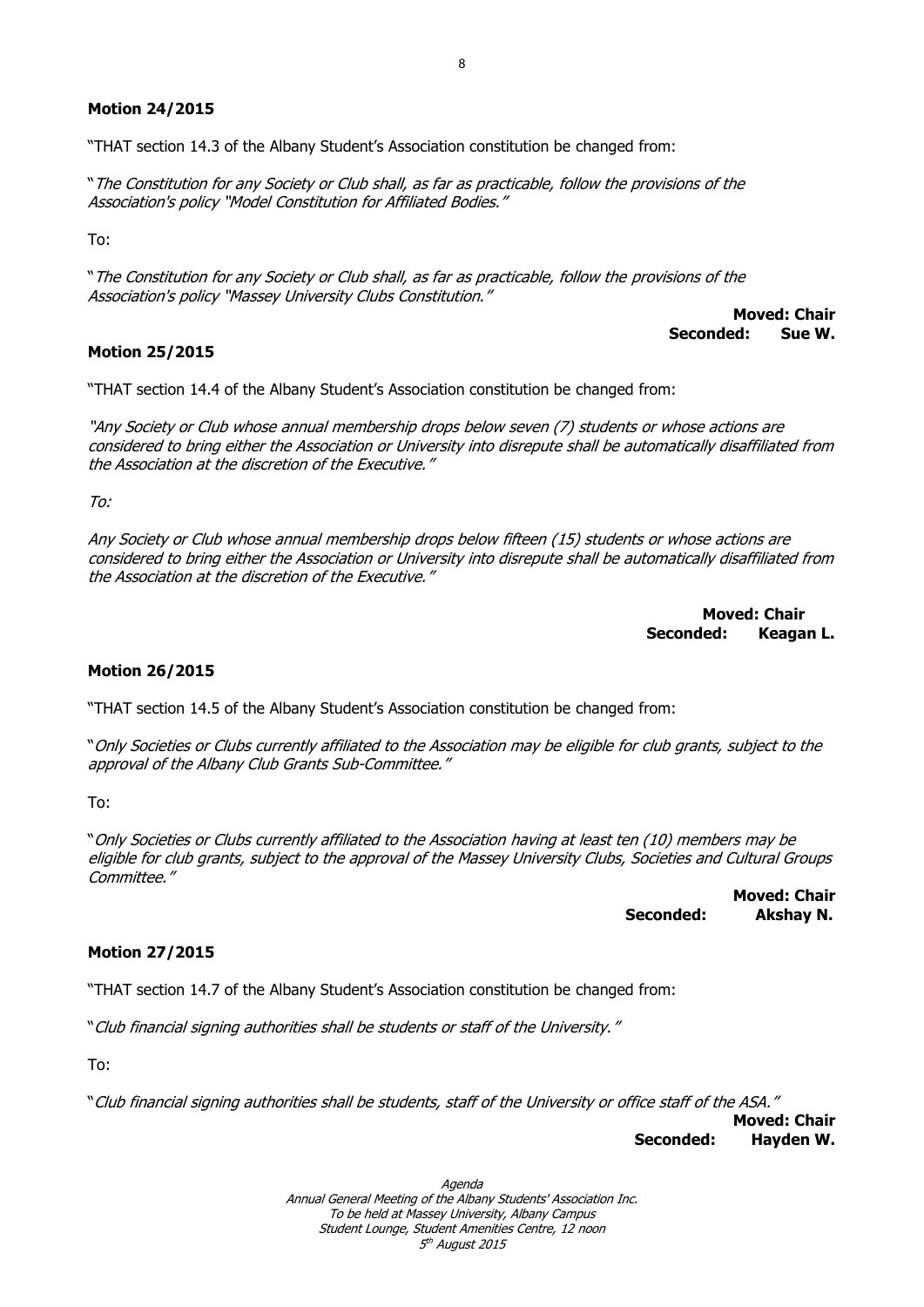## **Motion 24/2015**

"THAT section 14.3 of the Albany Student's Association constitution be changed from:

"The Constitution for any Society or Club shall, as far as practicable, follow the provisions of the Association's policy "Model Constitution for Affiliated Bodies."

To:

"The Constitution for any Society or Club shall, as far as practicable, follow the provisions of the Association's policy "Massey University Clubs Constitution."

**Moved: Chair Seconded: Sue W.**

#### **Motion 25/2015**

"THAT section 14.4 of the Albany Student's Association constitution be changed from:

"Any Society or Club whose annual membership drops below seven (7) students or whose actions are considered to bring either the Association or University into disrepute shall be automatically disaffiliated from the Association at the discretion of the Executive."

To:

Any Society or Club whose annual membership drops below fifteen (15) students or whose actions are considered to bring either the Association or University into disrepute shall be automatically disaffiliated from the Association at the discretion of the Executive."

> **Moved: Chair Seconded: Keagan L.**

#### **Motion 26/2015**

"THAT section 14.5 of the Albany Student's Association constitution be changed from:

"Only Societies or Clubs currently affiliated to the Association may be eligible for club grants, subject to the approval of the Albany Club Grants Sub-Committee."

To:

"Only Societies or Clubs currently affiliated to the Association having at least ten (10) members may be eligible for club grants, subject to the approval of the Massey University Clubs, Societies and Cultural Groups Committee."

> **Moved: Chair Seconded: Akshay N.**

#### **Motion 27/2015**

"THAT section 14.7 of the Albany Student's Association constitution be changed from:

"Club financial signing authorities shall be students or staff of the University."

To:

"Club financial signing authorities shall be students, staff of the University or office staff of the ASA."

**Moved: Chair Seconded: Hayden W.**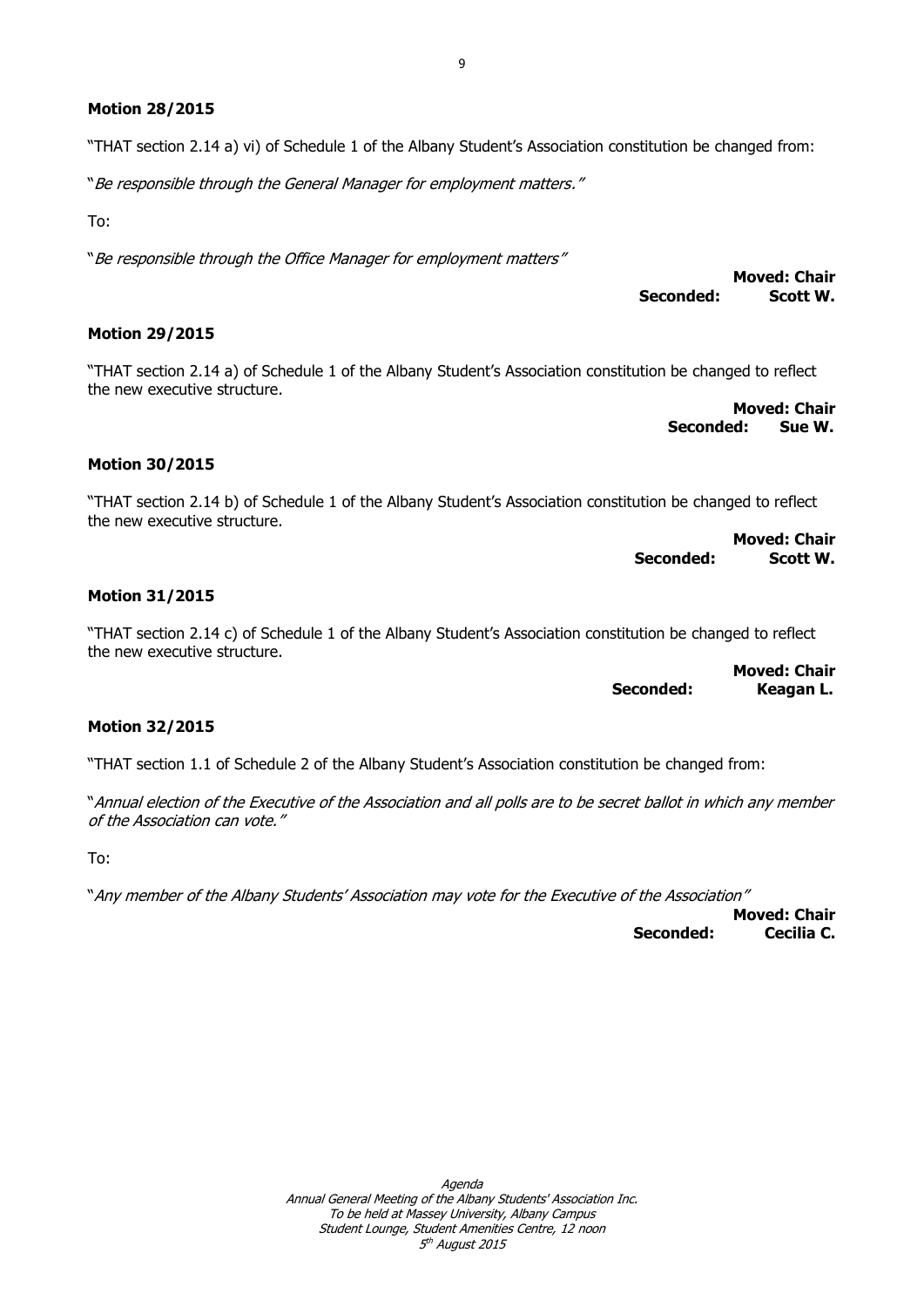#### **Motion 28/2015**

"THAT section 2.14 a) vi) of Schedule 1 of the Albany Student's Association constitution be changed from:

"Be responsible through the General Manager for employment matters."

To:

"Be responsible through the Office Manager for employment matters"

#### **Motion 29/2015**

"THAT section 2.14 a) of Schedule 1 of the Albany Student's Association constitution be changed to reflect the new executive structure.

**Moved: Chair Seconded: Sue W.**

 **Seconded: Scott W.**

**Moved: Chair**

#### **Motion 30/2015**

"THAT section 2.14 b) of Schedule 1 of the Albany Student's Association constitution be changed to reflect the new executive structure.

**Moved: Chair Seconded: Scott W.**

#### **Motion 31/2015**

"THAT section 2.14 c) of Schedule 1 of the Albany Student's Association constitution be changed to reflect the new executive structure.

**Moved: Chair Seconded: Keagan L.**

#### **Motion 32/2015**

"THAT section 1.1 of Schedule 2 of the Albany Student's Association constitution be changed from:

"Annual election of the Executive of the Association and all polls are to be secret ballot in which any member of the Association can vote."

To:

"Any member of the Albany Students' Association may vote for the Executive of the Association"

**Moved: Chair Seconded: Cecilia C.**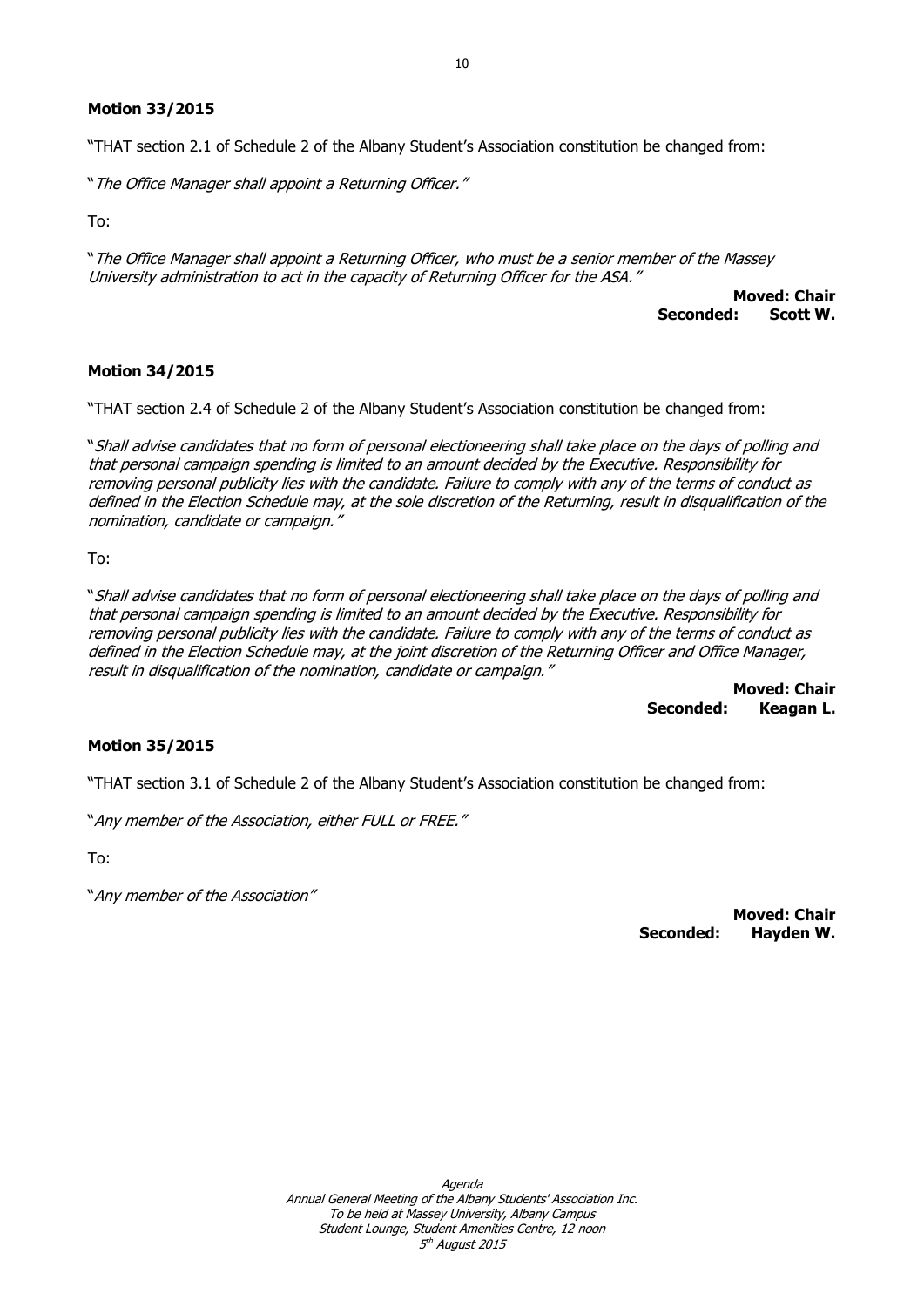## **Motion 33/2015**

"THAT section 2.1 of Schedule 2 of the Albany Student's Association constitution be changed from:

"The Office Manager shall appoint a Returning Officer."

To:

"The Office Manager shall appoint a Returning Officer, who must be a senior member of the Massey University administration to act in the capacity of Returning Officer for the ASA."

**Moved: Chair Seconded: Scott W.**

## **Motion 34/2015**

"THAT section 2.4 of Schedule 2 of the Albany Student's Association constitution be changed from:

"Shall advise candidates that no form of personal electioneering shall take place on the days of polling and that personal campaign spending is limited to an amount decided by the Executive. Responsibility for removing personal publicity lies with the candidate. Failure to comply with any of the terms of conduct as defined in the Election Schedule may, at the sole discretion of the Returning, result in disqualification of the nomination, candidate or campaign."

To:

"Shall advise candidates that no form of personal electioneering shall take place on the days of polling and that personal campaign spending is limited to an amount decided by the Executive. Responsibility for removing personal publicity lies with the candidate. Failure to comply with any of the terms of conduct as defined in the Election Schedule may, at the joint discretion of the Returning Officer and Office Manager, result in disqualification of the nomination, candidate or campaign."

> **Moved: Chair Seconded: Keagan L.**

# **Motion 35/2015**

"THAT section 3.1 of Schedule 2 of the Albany Student's Association constitution be changed from:

"Any member of the Association, either FULL or FREE."

To:

"Any member of the Association"

**Moved: Chair Seconded: Hayden W.**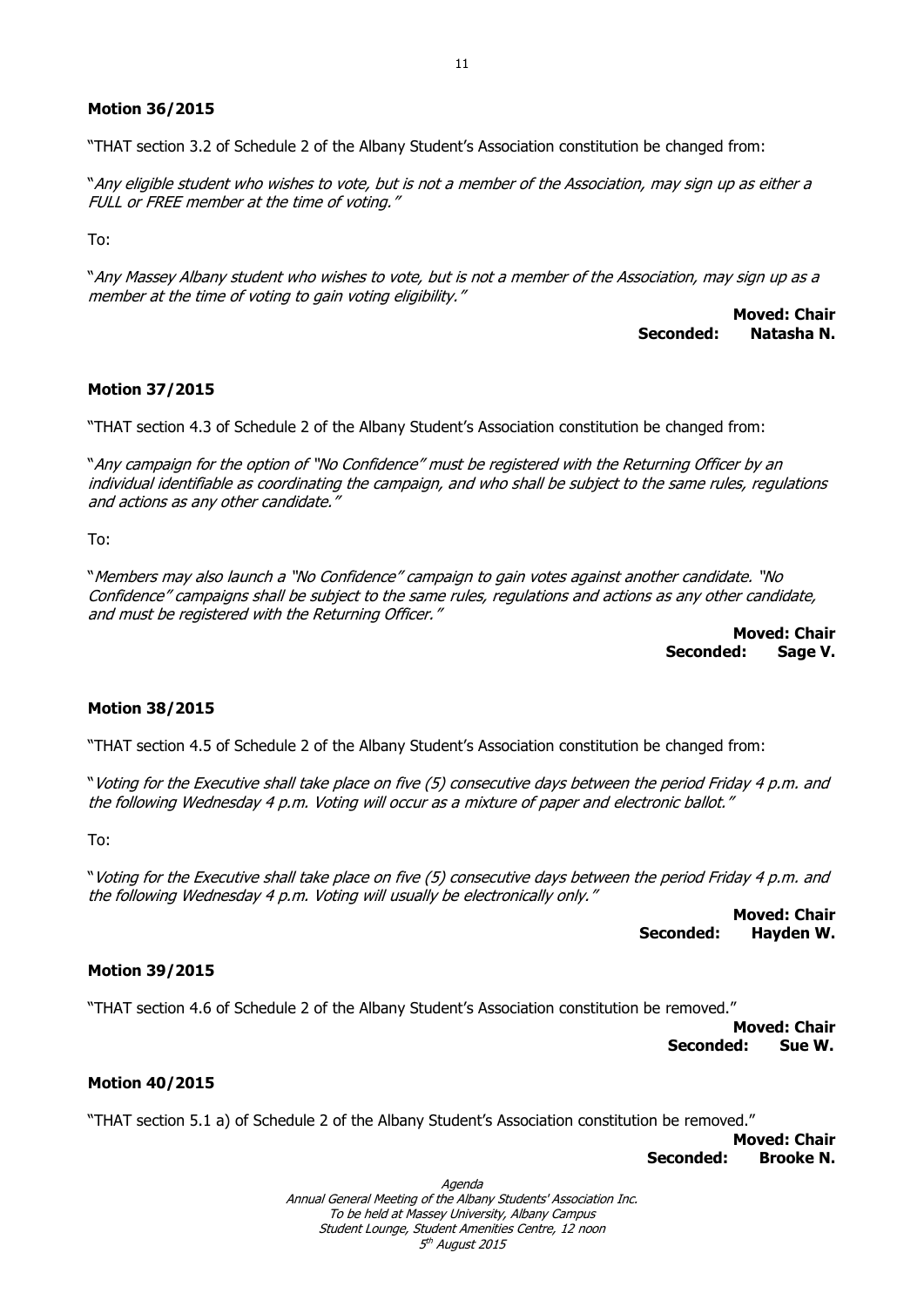#### **Motion 36/2015**

"THAT section 3.2 of Schedule 2 of the Albany Student's Association constitution be changed from:

"Any eligible student who wishes to vote, but is not a member of the Association, may sign up as either a FULL or FREE member at the time of voting."

To:

"Any Massey Albany student who wishes to vote, but is not a member of the Association, may sign up as a member at the time of voting to gain voting eligibility."

> **Moved: Chair Seconded: Natasha N.**

#### **Motion 37/2015**

"THAT section 4.3 of Schedule 2 of the Albany Student's Association constitution be changed from:

"Any campaign for the option of "No Confidence" must be registered with the Returning Officer by an individual identifiable as coordinating the campaign, and who shall be subject to the same rules, regulations and actions as any other candidate."

To:

"Members may also launch a "No Confidence" campaign to gain votes against another candidate. "No Confidence" campaigns shall be subject to the same rules, regulations and actions as any other candidate, and must be registered with the Returning Officer."

> **Moved: Chair Seconded: Sage V.**

#### **Motion 38/2015**

"THAT section 4.5 of Schedule 2 of the Albany Student's Association constitution be changed from:

"Voting for the Executive shall take place on five (5) consecutive days between the period Friday 4 p.m. and the following Wednesday 4 p.m. Voting will occur as a mixture of paper and electronic ballot."

To:

"Voting for the Executive shall take place on five (5) consecutive days between the period Friday 4 p.m. and the following Wednesday 4 p.m. Voting will usually be electronically only."

> **Moved: Chair Seconded: Hayden W.**

#### **Motion 39/2015**

"THAT section 4.6 of Schedule 2 of the Albany Student's Association constitution be removed."

**Moved: Chair Seconded: Sue W.**

#### **Motion 40/2015**

"THAT section 5.1 a) of Schedule 2 of the Albany Student's Association constitution be removed."

**Moved: Chair Seconded: Brooke N.**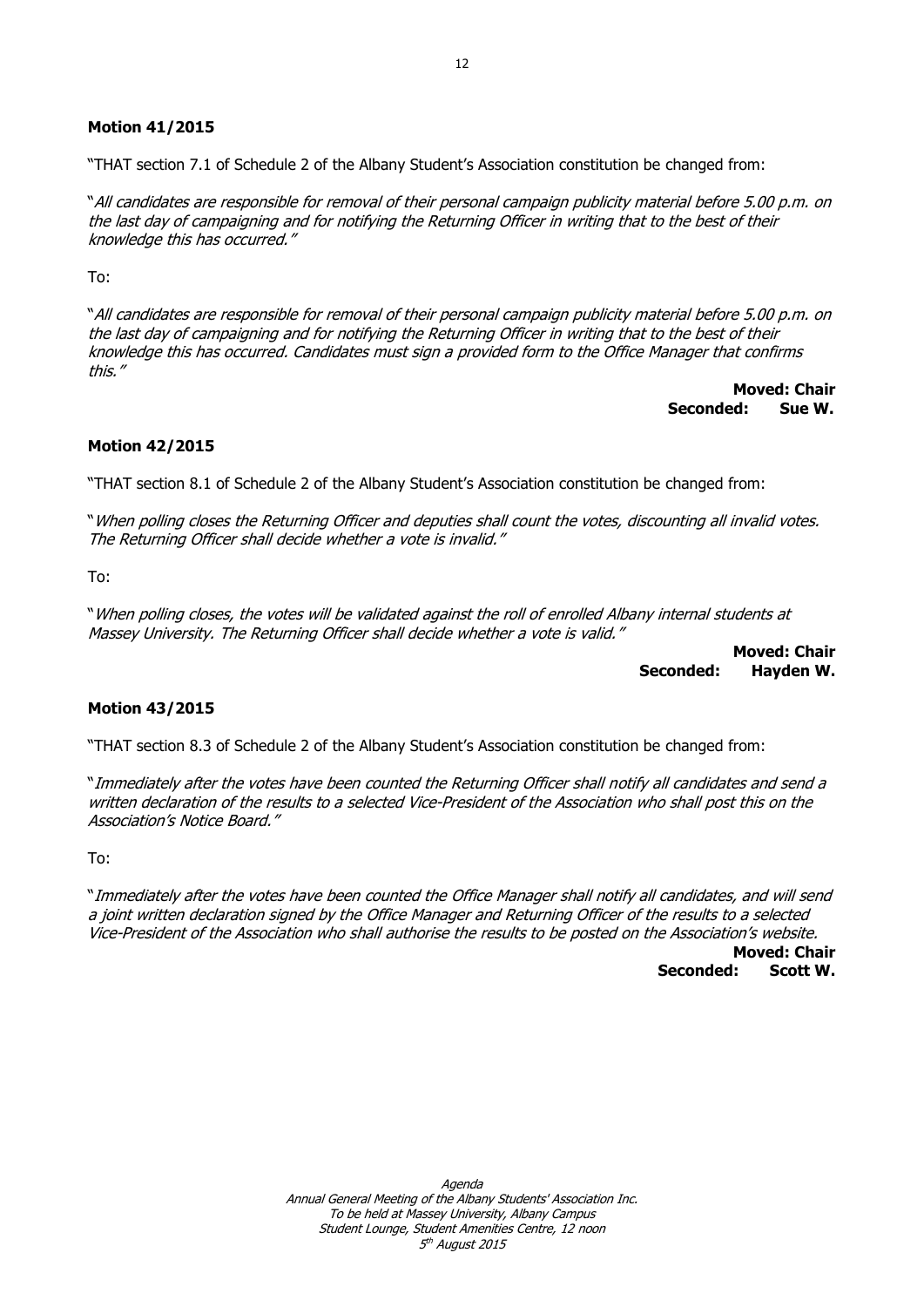### **Motion 41/2015**

"THAT section 7.1 of Schedule 2 of the Albany Student's Association constitution be changed from:

"All candidates are responsible for removal of their personal campaign publicity material before 5.00 p.m. on the last day of campaigning and for notifying the Returning Officer in writing that to the best of their knowledge this has occurred."

To:

"All candidates are responsible for removal of their personal campaign publicity material before 5.00 p.m. on the last day of campaigning and for notifying the Returning Officer in writing that to the best of their knowledge this has occurred. Candidates must sign a provided form to the Office Manager that confirms this."

> **Moved: Chair Seconded: Sue W.**

## **Motion 42/2015**

"THAT section 8.1 of Schedule 2 of the Albany Student's Association constitution be changed from:

"When polling closes the Returning Officer and deputies shall count the votes, discounting all invalid votes. The Returning Officer shall decide whether a vote is invalid."

To:

"When polling closes, the votes will be validated against the roll of enrolled Albany internal students at Massey University. The Returning Officer shall decide whether a vote is valid."

> **Moved: Chair Seconded: Hayden W.**

#### **Motion 43/2015**

"THAT section 8.3 of Schedule 2 of the Albany Student's Association constitution be changed from:

"Immediately after the votes have been counted the Returning Officer shall notify all candidates and send a written declaration of the results to a selected Vice-President of the Association who shall post this on the Association's Notice Board."

To:

"Immediately after the votes have been counted the Office Manager shall notify all candidates, and will send a joint written declaration signed by the Office Manager and Returning Officer of the results to a selected Vice-President of the Association who shall authorise the results to be posted on the Association's website.

**Moved: Chair Seconded: Scott W.**